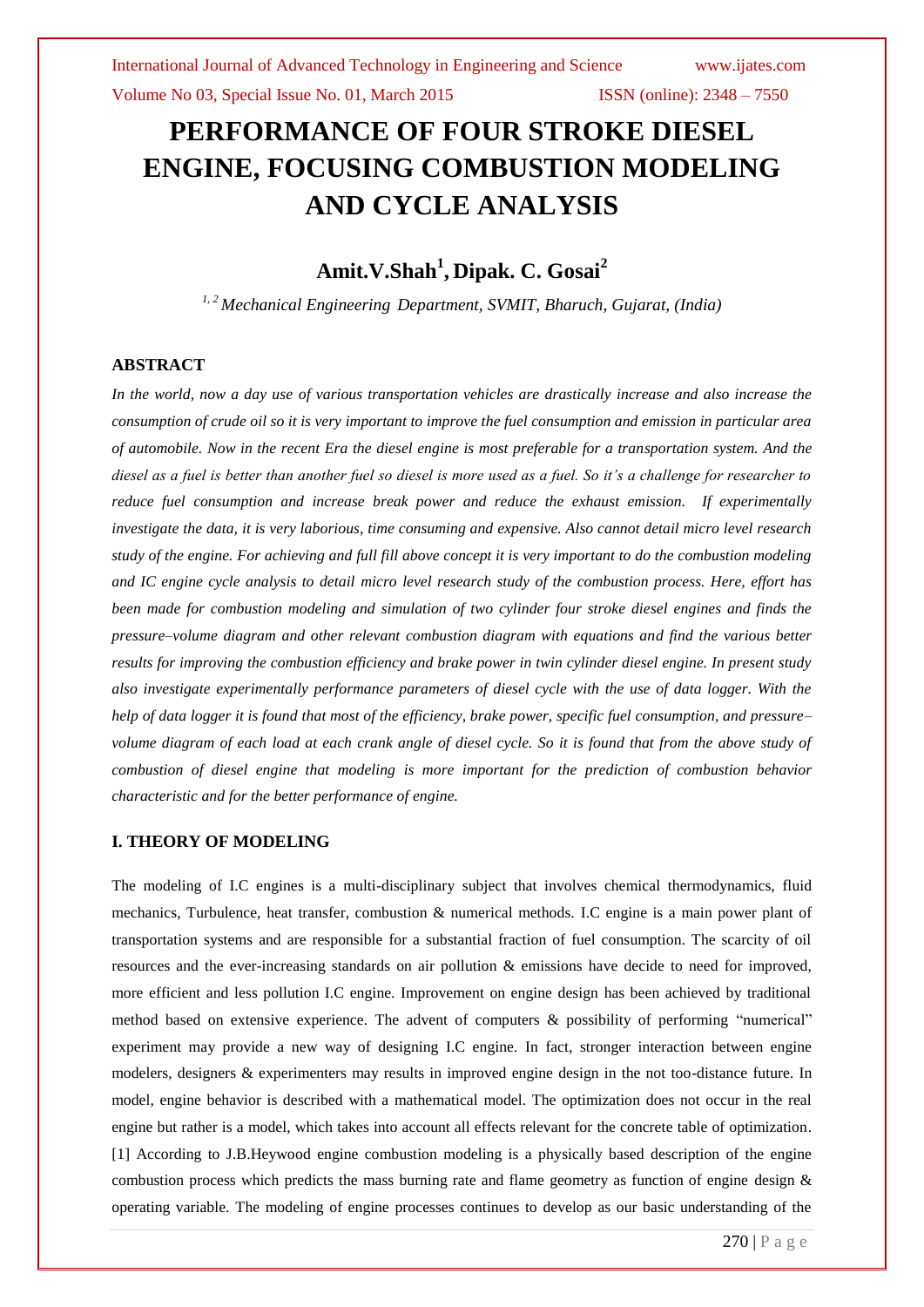Volume No 03, Special Issue No. 01, March 2015 **ISSN** (online): 2348 – 7550

# **PERFORMANCE OF FOUR STROKE DIESEL ENGINE, FOCUSING COMBUSTION MODELING AND CYCLE ANALYSIS**

# **Amit.V.Shah<sup>1</sup> , Dipak. C. Gosai<sup>2</sup>**

*1, 2 Mechanical Engineering Department, SVMIT, Bharuch, Gujarat, (India)*

# **ABSTRACT**

*In the world, now a day use of various transportation vehicles are drastically increase and also increase the consumption of crude oil so it is very important to improve the fuel consumption and emission in particular area of automobile. Now in the recent Era the diesel engine is most preferable for a transportation system. And the diesel as a fuel is better than another fuel so diesel is more used as a fuel. So it's a challenge for researcher to reduce fuel consumption and increase break power and reduce the exhaust emission. If experimentally investigate the data, it is very laborious, time consuming and expensive. Also cannot detail micro level research study of the engine. For achieving and full fill above concept it is very important to do the combustion modeling and IC engine cycle analysis to detail micro level research study of the combustion process. Here, effort has been made for combustion modeling and simulation of two cylinder four stroke diesel engines and finds the pressure–volume diagram and other relevant combustion diagram with equations and find the various better results for improving the combustion efficiency and brake power in twin cylinder diesel engine. In present study also investigate experimentally performance parameters of diesel cycle with the use of data logger. With the help of data logger it is found that most of the efficiency, brake power, specific fuel consumption, and pressure– volume diagram of each load at each crank angle of diesel cycle. So it is found that from the above study of combustion of diesel engine that modeling is more important for the prediction of combustion behavior characteristic and for the better performance of engine.*

# **I. THEORY OF MODELING**

The modeling of I.C engines is a multi-disciplinary subject that involves chemical thermodynamics, fluid mechanics, Turbulence, heat transfer, combustion & numerical methods. I.C engine is a main power plant of transportation systems and are responsible for a substantial fraction of fuel consumption. The scarcity of oil resources and the ever-increasing standards on air pollution & emissions have decide to need for improved, more efficient and less pollution I.C engine. Improvement on engine design has been achieved by traditional method based on extensive experience. The advent of computers & possibility of performing "numerical" experiment may provide a new way of designing I.C engine. In fact, stronger interaction between engine modelers, designers & experimenters may results in improved engine design in the not too-distance future. In model, engine behavior is described with a mathematical model. The optimization does not occur in the real engine but rather is a model, which takes into account all effects relevant for the concrete table of optimization. [1] According to J.B.Heywood engine combustion modeling is a physically based description of the engine combustion process which predicts the mass burning rate and flame geometry as function of engine design  $\&$ operating variable. The modeling of engine processes continues to develop as our basic understanding of the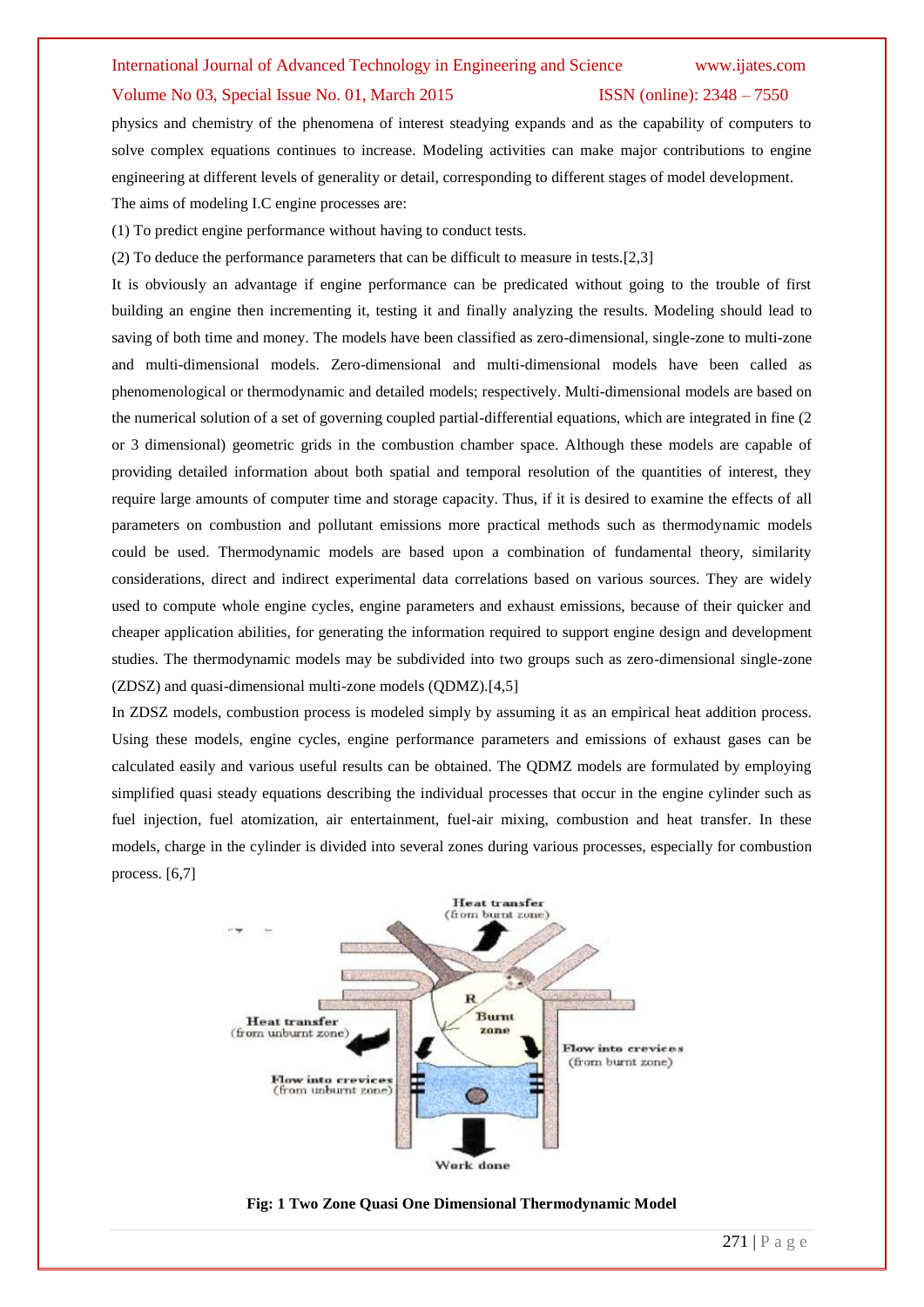#### Volume No 03, Special Issue No. 01, March 2015 **ISSN** (online): 2348 – 7550

physics and chemistry of the phenomena of interest steadying expands and as the capability of computers to solve complex equations continues to increase. Modeling activities can make major contributions to engine engineering at different levels of generality or detail, corresponding to different stages of model development. The aims of modeling I.C engine processes are:

(1) To predict engine performance without having to conduct tests.

(2) To deduce the performance parameters that can be difficult to measure in tests.[2,3]

It is obviously an advantage if engine performance can be predicated without going to the trouble of first building an engine then incrementing it, testing it and finally analyzing the results. Modeling should lead to saving of both time and money. The models have been classified as zero-dimensional, single-zone to multi-zone and multi-dimensional models. Zero-dimensional and multi-dimensional models have been called as phenomenological or thermodynamic and detailed models; respectively. Multi-dimensional models are based on the numerical solution of a set of governing coupled partial-differential equations, which are integrated in fine (2 or 3 dimensional) geometric grids in the combustion chamber space. Although these models are capable of providing detailed information about both spatial and temporal resolution of the quantities of interest, they require large amounts of computer time and storage capacity. Thus, if it is desired to examine the effects of all parameters on combustion and pollutant emissions more practical methods such as thermodynamic models could be used. Thermodynamic models are based upon a combination of fundamental theory, similarity considerations, direct and indirect experimental data correlations based on various sources. They are widely used to compute whole engine cycles, engine parameters and exhaust emissions, because of their quicker and cheaper application abilities, for generating the information required to support engine design and development studies. The thermodynamic models may be subdivided into two groups such as zero-dimensional single-zone (ZDSZ) and quasi-dimensional multi-zone models (QDMZ).[4,5]

In ZDSZ models, combustion process is modeled simply by assuming it as an empirical heat addition process. Using these models, engine cycles, engine performance parameters and emissions of exhaust gases can be calculated easily and various useful results can be obtained. The QDMZ models are formulated by employing simplified quasi steady equations describing the individual processes that occur in the engine cylinder such as fuel injection, fuel atomization, air entertainment, fuel-air mixing, combustion and heat transfer. In these models, charge in the cylinder is divided into several zones during various processes, especially for combustion process. [6,7]



#### **Fig: 1 Two Zone Quasi One Dimensional Thermodynamic Model**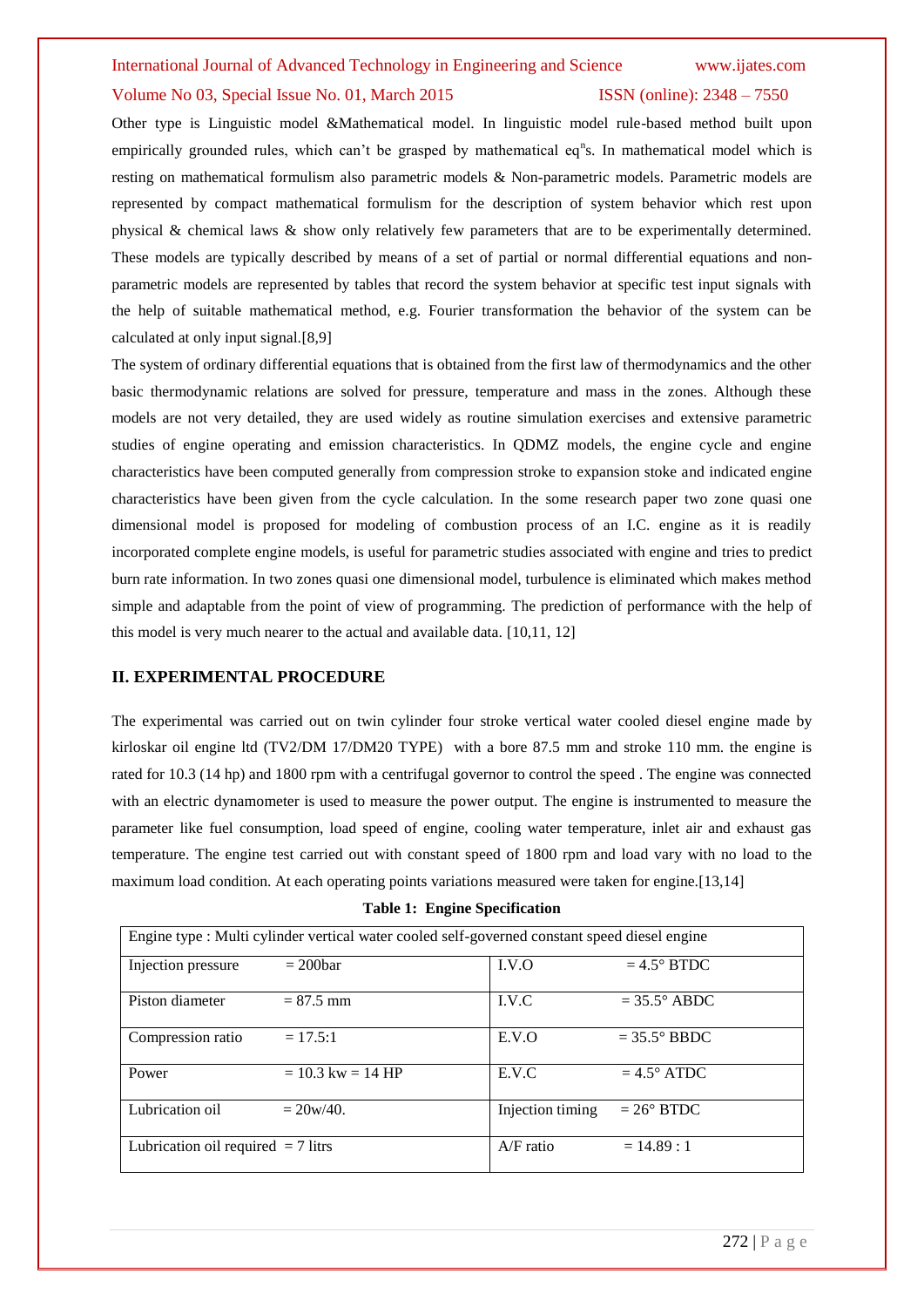### Volume No 03, Special Issue No. 01, March 2015 **ISSN** (online): 2348 – 7550

Other type is Linguistic model &Mathematical model. In linguistic model rule-based method built upon empirically grounded rules, which can't be grasped by mathematical eq<sup>n</sup>s. In mathematical model which is resting on mathematical formulism also parametric models & Non-parametric models. Parametric models are represented by compact mathematical formulism for the description of system behavior which rest upon physical & chemical laws & show only relatively few parameters that are to be experimentally determined. These models are typically described by means of a set of partial or normal differential equations and nonparametric models are represented by tables that record the system behavior at specific test input signals with the help of suitable mathematical method, e.g. Fourier transformation the behavior of the system can be calculated at only input signal.[8,9]

The system of ordinary differential equations that is obtained from the first law of thermodynamics and the other basic thermodynamic relations are solved for pressure, temperature and mass in the zones. Although these models are not very detailed, they are used widely as routine simulation exercises and extensive parametric studies of engine operating and emission characteristics. In QDMZ models, the engine cycle and engine characteristics have been computed generally from compression stroke to expansion stoke and indicated engine characteristics have been given from the cycle calculation. In the some research paper two zone quasi one dimensional model is proposed for modeling of combustion process of an I.C. engine as it is readily incorporated complete engine models, is useful for parametric studies associated with engine and tries to predict burn rate information. In two zones quasi one dimensional model, turbulence is eliminated which makes method simple and adaptable from the point of view of programming. The prediction of performance with the help of this model is very much nearer to the actual and available data. [10,11, 12]

### **II. EXPERIMENTAL PROCEDURE**

The experimental was carried out on twin cylinder four stroke vertical water cooled diesel engine made by kirloskar oil engine ltd (TV2/DM 17/DM20 TYPE) with a bore 87.5 mm and stroke 110 mm. the engine is rated for 10.3 (14 hp) and 1800 rpm with a centrifugal governor to control the speed . The engine was connected with an electric dynamometer is used to measure the power output. The engine is instrumented to measure the parameter like fuel consumption, load speed of engine, cooling water temperature, inlet air and exhaust gas temperature. The engine test carried out with constant speed of 1800 rpm and load vary with no load to the maximum load condition. At each operating points variations measured were taken for engine.[13,14]

| Engine type : Multi cylinder vertical water cooled self-governed constant speed diesel engine |                       |                  |                       |
|-----------------------------------------------------------------------------------------------|-----------------------|------------------|-----------------------|
| Injection pressure                                                                            | $= 200$ bar           | LV.O             | $=4.5^{\circ}$ BTDC   |
| Piston diameter                                                                               | $= 87.5$ mm           | I.V.C            | $= 35.5^{\circ}$ ABDC |
| Compression ratio                                                                             | $= 17.5:1$            | E.V.O            | $= 35.5^{\circ}$ BBDC |
| Power                                                                                         | $= 10.3$ kw $= 14$ HP | E.V.C            | $=4.5^{\circ}$ ATDC   |
| Lubrication oil                                                                               | $= 20w/40.$           | Injection timing | $= 26^{\circ}$ BTDC   |
| Lubrication oil required $= 7$ litrs                                                          |                       | $A/F$ ratio      | $= 14.89 : 1$         |

**Table 1: Engine Specification**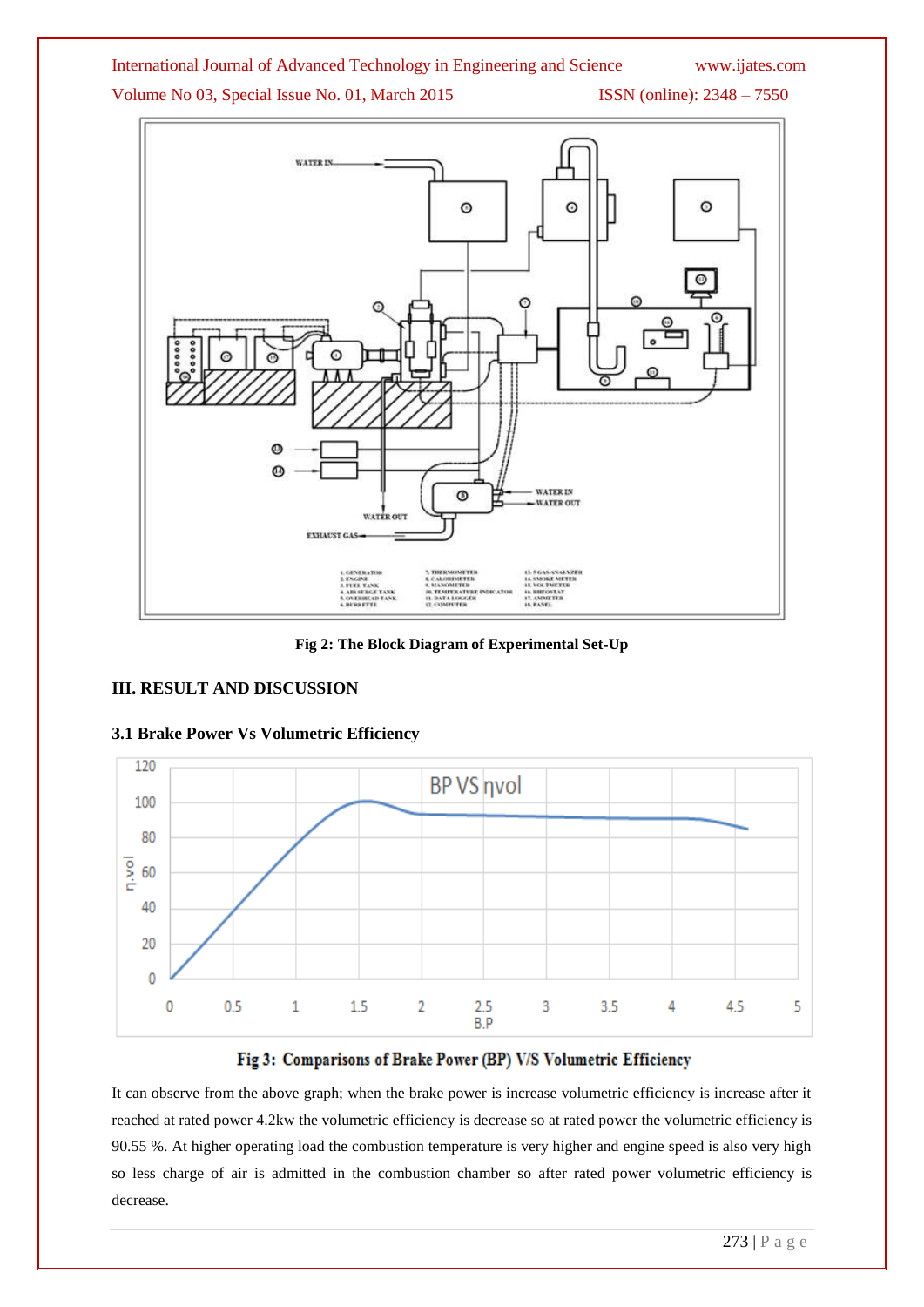Volume No 03, Special Issue No. 01, March 2015 ISSN (online): 2348 - 7550



**Fig 2: The Block Diagram of Experimental Set-Up**

# **III. RESULT AND DISCUSSION**



# **3.1 Brake Power Vs Volumetric Efficiency**

# Fig 3: Comparisons of Brake Power (BP) V/S Volumetric Efficiency

It can observe from the above graph; when the brake power is increase volumetric efficiency is increase after it reached at rated power 4.2kw the volumetric efficiency is decrease so at rated power the volumetric efficiency is 90.55 %. At higher operating load the combustion temperature is very higher and engine speed is also very high so less charge of air is admitted in the combustion chamber so after rated power volumetric efficiency is decrease.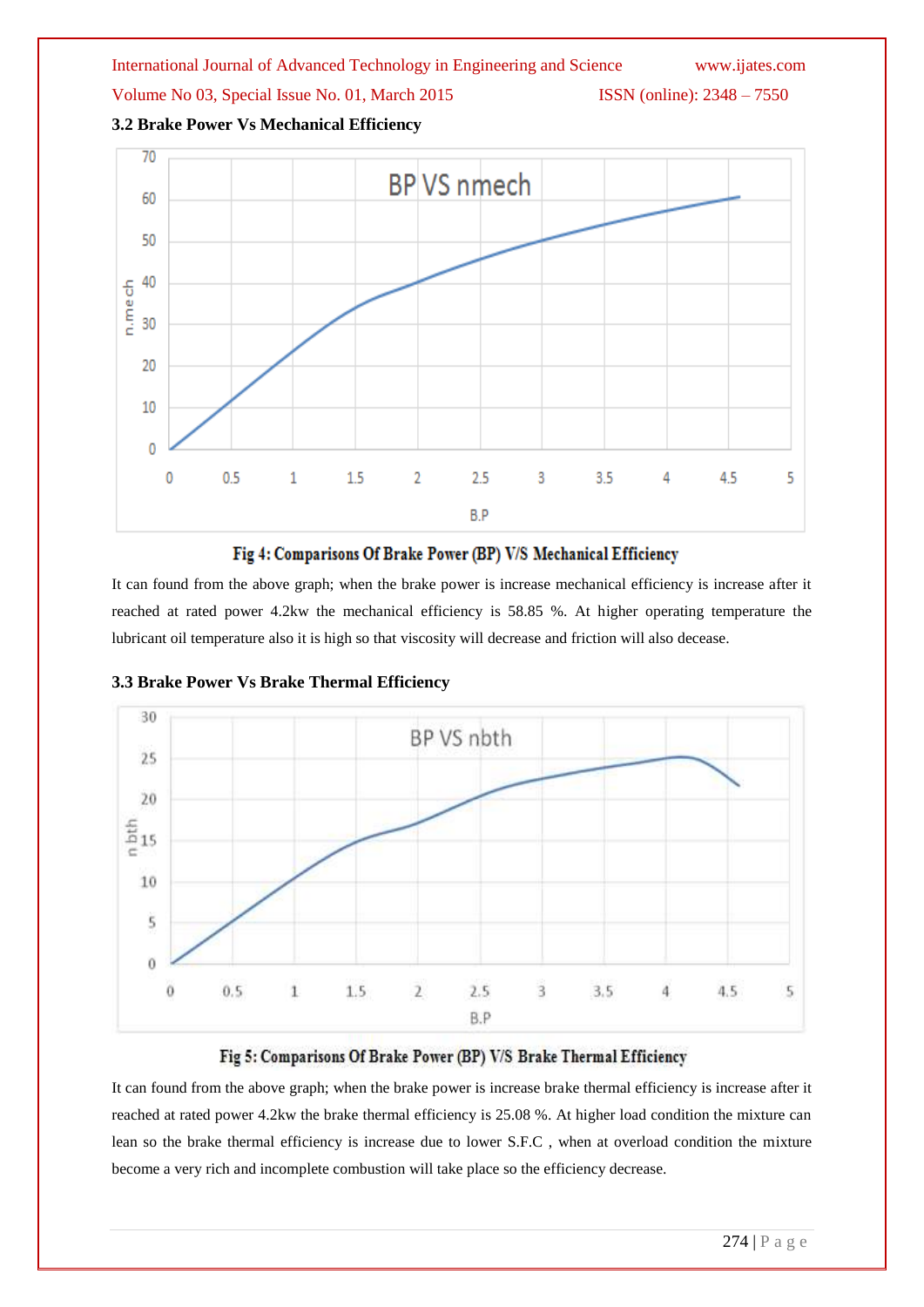



# Fig 4: Comparisons Of Brake Power (BP) V/S Mechanical Efficiency

It can found from the above graph; when the brake power is increase mechanical efficiency is increase after it reached at rated power 4.2kw the mechanical efficiency is 58.85 %. At higher operating temperature the lubricant oil temperature also it is high so that viscosity will decrease and friction will also decease.



**3.3 Brake Power Vs Brake Thermal Efficiency**

# Fig 5: Comparisons Of Brake Power (BP) V/S Brake Thermal Efficiency

It can found from the above graph; when the brake power is increase brake thermal efficiency is increase after it reached at rated power 4.2kw the brake thermal efficiency is 25.08 %. At higher load condition the mixture can lean so the brake thermal efficiency is increase due to lower S.F.C , when at overload condition the mixture become a very rich and incomplete combustion will take place so the efficiency decrease.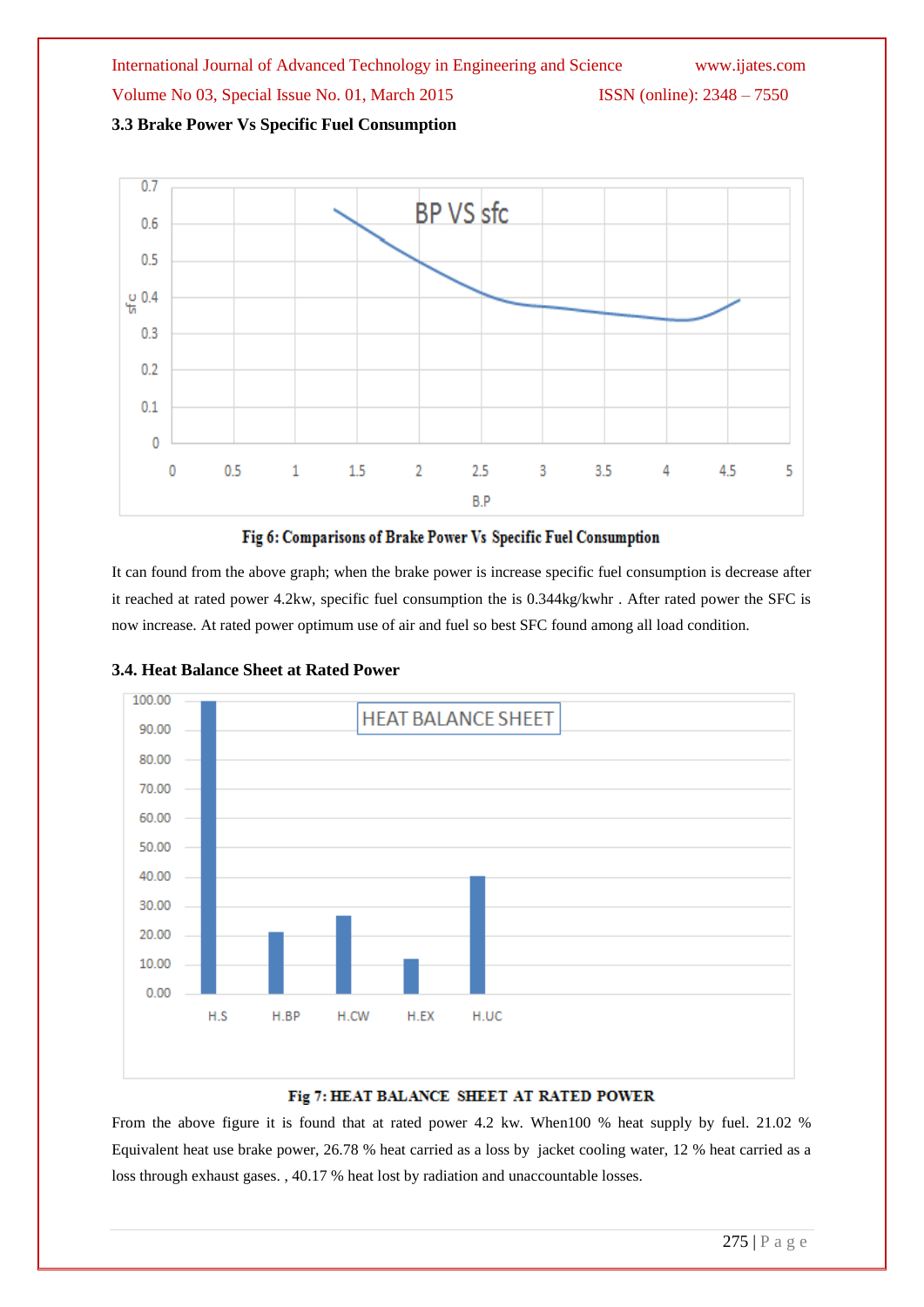International Journal of Advanced Technology in Engineering and Science www.ijates.com Volume No 03, Special Issue No. 01, March 2015 ISSN (online): 2348 – 7550 **3.3 Brake Power Vs Specific Fuel Consumption**



# Fig 6: Comparisons of Brake Power Vs Specific Fuel Consumption

It can found from the above graph; when the brake power is increase specific fuel consumption is decrease after it reached at rated power 4.2kw, specific fuel consumption the is 0.344kg/kwhr . After rated power the SFC is now increase. At rated power optimum use of air and fuel so best SFC found among all load condition.



# **3.4. Heat Balance Sheet at Rated Power**

# Fig 7: HEAT BALANCE SHEET AT RATED POWER

From the above figure it is found that at rated power 4.2 kw. When100 % heat supply by fuel. 21.02 % Equivalent heat use brake power, 26.78 % heat carried as a loss by jacket cooling water, 12 % heat carried as a loss through exhaust gases. , 40.17 % heat lost by radiation and unaccountable losses.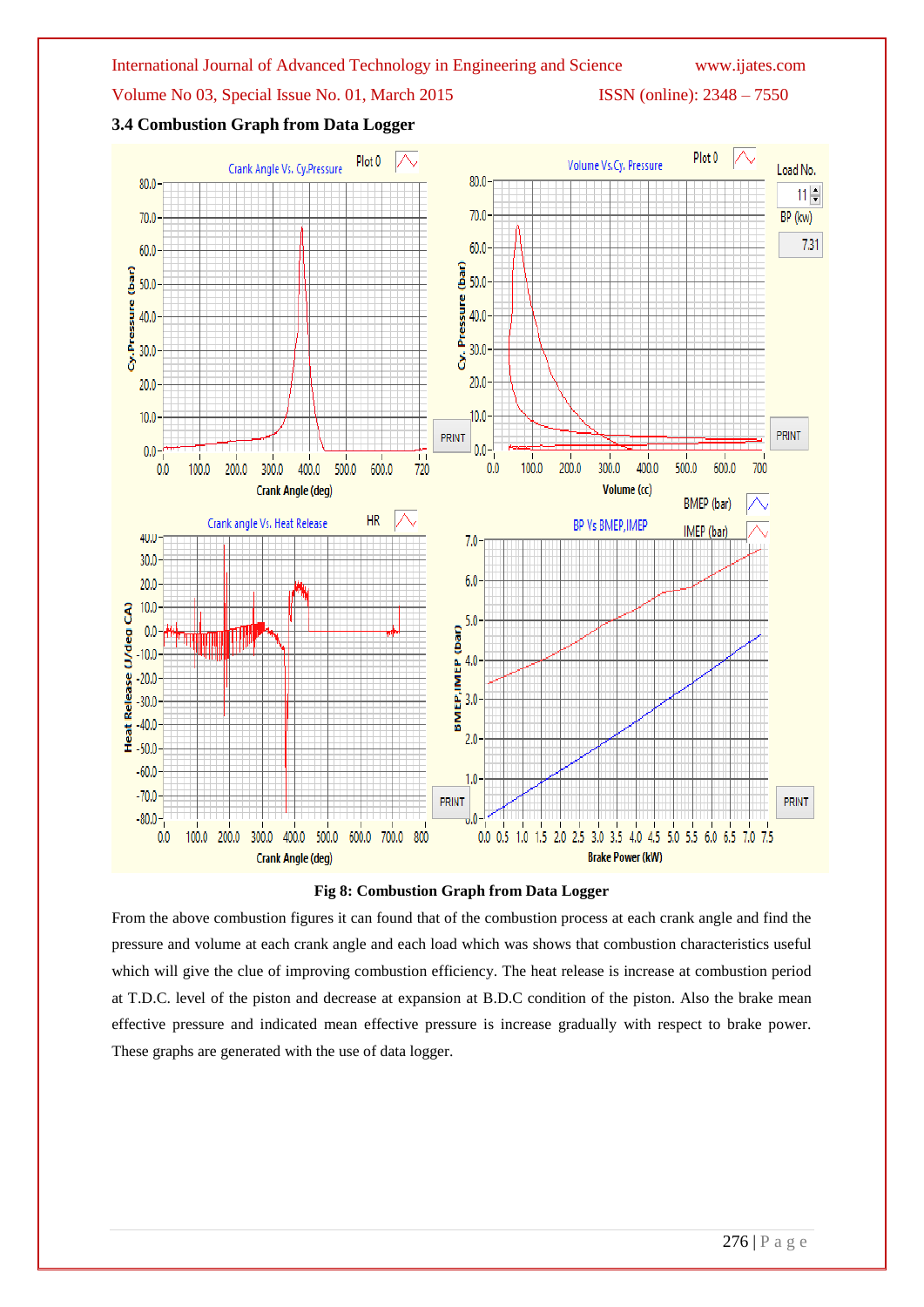





From the above combustion figures it can found that of the combustion process at each crank angle and find the pressure and volume at each crank angle and each load which was shows that combustion characteristics useful which will give the clue of improving combustion efficiency. The heat release is increase at combustion period at T.D.C. level of the piston and decrease at expansion at B.D.C condition of the piston. Also the brake mean effective pressure and indicated mean effective pressure is increase gradually with respect to brake power. These graphs are generated with the use of data logger.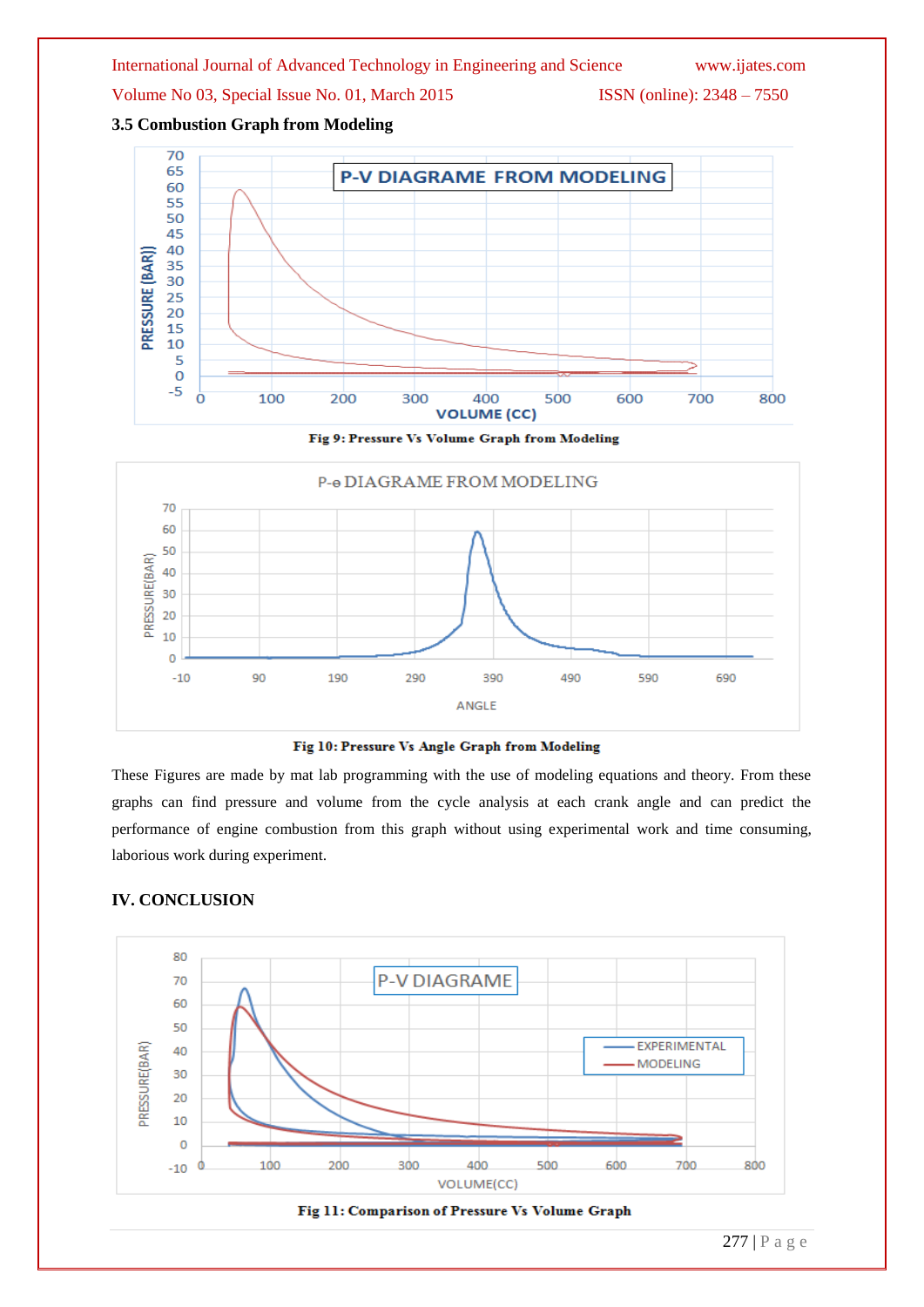Volume No 03, Special Issue No. 01, March 2015 ISSN (online): 2348 – 7550

**3.5 Combustion Graph from Modeling**



Fig 9: Pressure Vs Volume Graph from Modeling





These Figures are made by mat lab programming with the use of modeling equations and theory. From these graphs can find pressure and volume from the cycle analysis at each crank angle and can predict the performance of engine combustion from this graph without using experimental work and time consuming, laborious work during experiment.

# **IV. CONCLUSION**



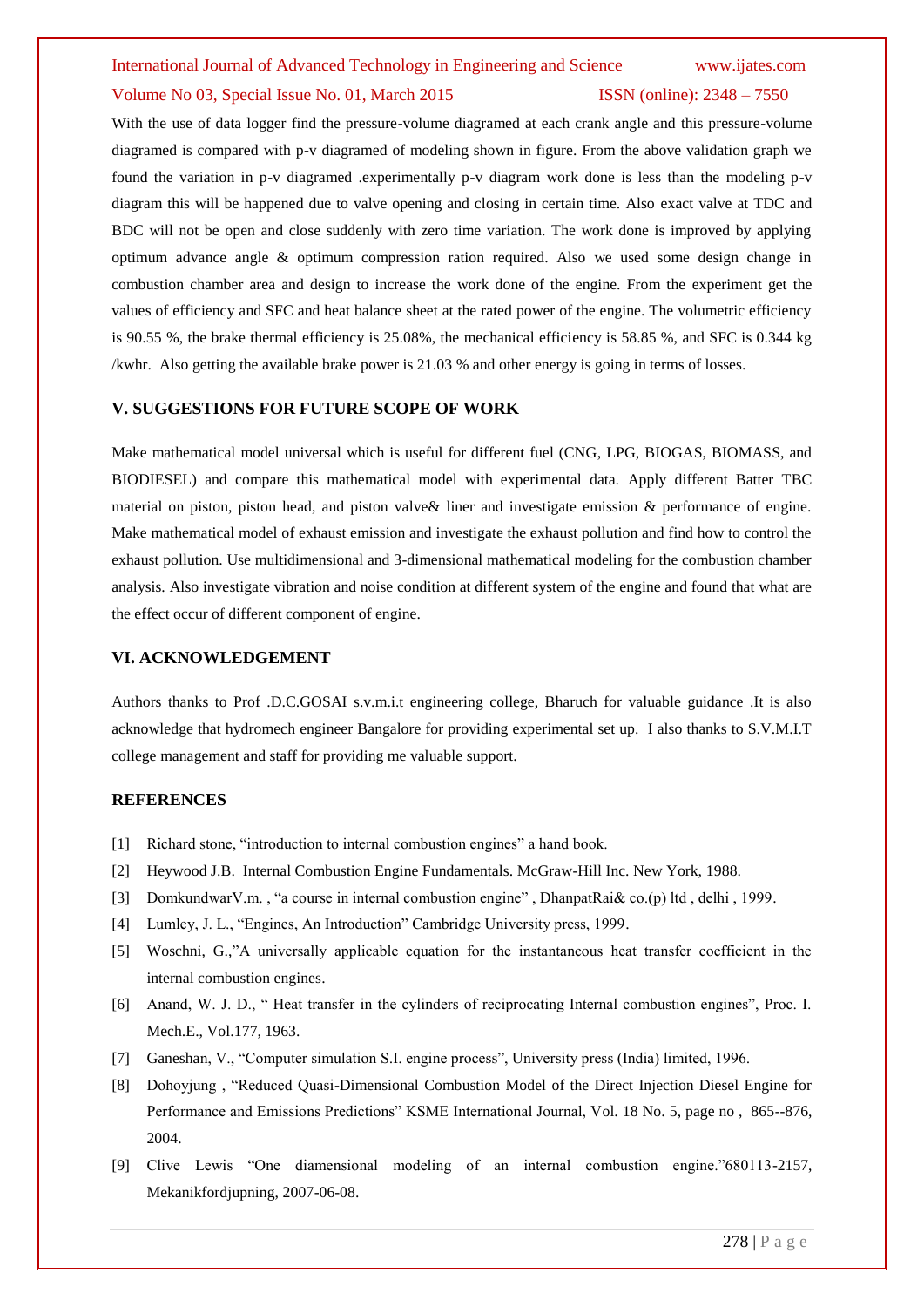Volume No 03, Special Issue No. 01, March 2015 **ISSN** (online): 2348 – 7550 With the use of data logger find the pressure-volume diagramed at each crank angle and this pressure-volume diagramed is compared with p-v diagramed of modeling shown in figure. From the above validation graph we found the variation in p-v diagramed .experimentally p-v diagram work done is less than the modeling p-v diagram this will be happened due to valve opening and closing in certain time. Also exact valve at TDC and BDC will not be open and close suddenly with zero time variation. The work done is improved by applying optimum advance angle & optimum compression ration required. Also we used some design change in combustion chamber area and design to increase the work done of the engine. From the experiment get the values of efficiency and SFC and heat balance sheet at the rated power of the engine. The volumetric efficiency is 90.55 %, the brake thermal efficiency is 25.08%, the mechanical efficiency is 58.85 %, and SFC is 0.344 kg

/kwhr. Also getting the available brake power is 21.03 % and other energy is going in terms of losses.

### **V. SUGGESTIONS FOR FUTURE SCOPE OF WORK**

Make mathematical model universal which is useful for different fuel (CNG, LPG, BIOGAS, BIOMASS, and BIODIESEL) and compare this mathematical model with experimental data. Apply different Batter TBC material on piston, piston head, and piston valve& liner and investigate emission & performance of engine. Make mathematical model of exhaust emission and investigate the exhaust pollution and find how to control the exhaust pollution. Use multidimensional and 3-dimensional mathematical modeling for the combustion chamber analysis. Also investigate vibration and noise condition at different system of the engine and found that what are the effect occur of different component of engine.

### **VI. ACKNOWLEDGEMENT**

Authors thanks to Prof .D.C.GOSAI s.v.m.i.t engineering college, Bharuch for valuable guidance .It is also acknowledge that hydromech engineer Bangalore for providing experimental set up. I also thanks to S.V.M.I.T college management and staff for providing me valuable support.

### **REFERENCES**

- [1] Richard stone, "introduction to internal combustion engines" a hand book.
- [2] Heywood J.B. Internal Combustion Engine Fundamentals. McGraw-Hill Inc. New York, 1988.
- [3] DomkundwarV.m. , "a course in internal combustion engine" , DhanpatRai& co.(p) ltd , delhi , 1999.
- [4] Lumley, J. L., "Engines, An Introduction" Cambridge University press, 1999.
- [5] Woschni, G.,"A universally applicable equation for the instantaneous heat transfer coefficient in the internal combustion engines.
- [6] Anand, W. J. D., " Heat transfer in the cylinders of reciprocating Internal combustion engines", Proc. I. Mech.E., Vol.177, 1963.
- [7] Ganeshan, V., "Computer simulation S.I. engine process", University press (India) limited, 1996.
- [8] Dohoyjung , "Reduced Quasi-Dimensional Combustion Model of the Direct Injection Diesel Engine for Performance and Emissions Predictions" KSME International Journal, Vol. 18 No. 5, page no , 865--876, 2004.
- [9] Clive Lewis "One diamensional modeling of an internal combustion engine."680113-2157, Mekanikfordjupning, 2007-06-08.